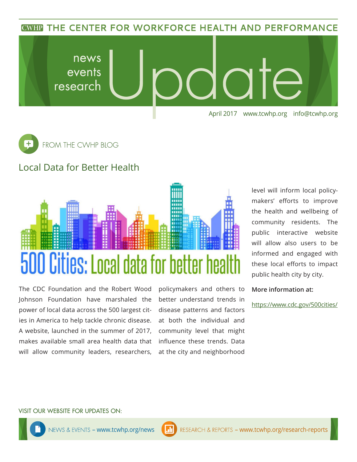**CWHP THE CENTER FOR WORKFORCE HEALTH AND PERFORMANCE** 





## Local Data for Better Health



The CDC Foundation and the Robert Wood Johnson Foundation have marshaled the power of local data across the 500 largest cities in America to help tackle chronic disease. A website, launched in the summer of 2017, makes available small area health data that will allow community leaders, researchers,

policymakers and others to better understand trends in disease patterns and factors at both the individual and community level that might influence these trends. Data at the city and neighborhood

level will inform local policymakers' efforts to improve the health and wellbeing of community residents. The public interactive website will allow also users to be informed and engaged with these local efforts to impact public health city by city.

**More information at:**

https://www.cdc.gov/500cities/

#### VISIT OUR WEBSITE FOR UPDATES ON: